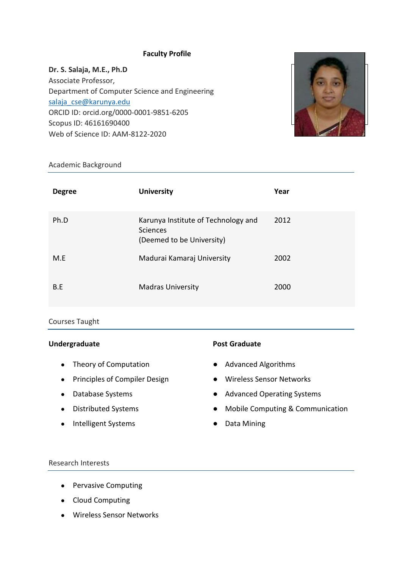### **Faculty Profile**

**Dr. S. Salaja, M.E., Ph.D** Associate Professor, Department of Computer Science and Engineering [salaja\\_cse@karunya.edu](mailto:salaja_cse@karunya.edu) ORCID ID: orcid.org/0000-0001-9851-6205 Scopus ID: 46161690400 Web of Science ID: AAM-8122-2020



#### Academic Background

| <b>Degree</b> | <b>University</b>                                                            | Year |
|---------------|------------------------------------------------------------------------------|------|
| Ph.D          | Karunya Institute of Technology and<br>Sciences<br>(Deemed to be University) | 2012 |
| M.E           | Madurai Kamaraj University                                                   | 2002 |
| B.E           | <b>Madras University</b>                                                     | 2000 |

# Courses Taught

#### **Undergraduate**

- Theory of Computation
- Principles of Compiler Design
- Database Systems
- Distributed Systems
- Intelligent Systems

## **Post Graduate**

- Advanced Algorithms
- Wireless Sensor Networks
- Advanced Operating Systems
- Mobile Computing & Communication
- Data Mining

#### Research Interests

- Pervasive Computing
- Cloud Computing
- Wireless Sensor Networks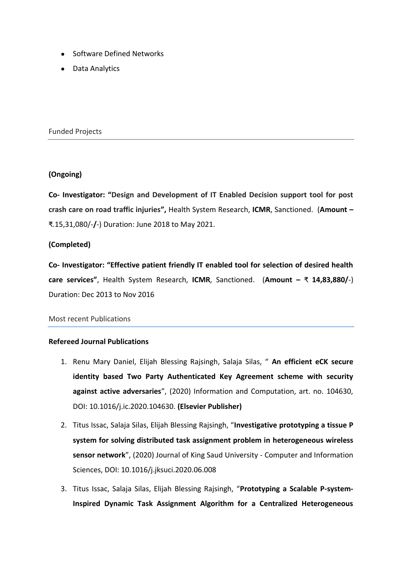- Software Defined Networks
- Data Analytics

Funded Projects

## **(Ongoing)**

**Co- Investigator: "Design and Development of IT Enabled Decision support tool for post crash care on road traffic injuries",** Health System Research, **ICMR**, Sanctioned. (**Amount –** ₹.15,31,080/-**/**-) Duration: June 2018 to May 2021.

## **(Completed)**

**Co- Investigator: "Effective patient friendly IT enabled tool for selection of desired health care services"**, Health System Research, **ICMR**, Sanctioned. (**Amount –** ₹ **14,83,880/**-) Duration: Dec 2013 to Nov 2016

#### Most recent Publications

#### **Refereed Journal Publications**

- 1. Renu Mary Daniel, Elijah Blessing Rajsingh, Salaja Silas, " **An efficient eCK secure identity based Two Party Authenticated Key Agreement scheme with security against active adversaries**", (2020) Information and Computation, art. no. 104630, DOI: 10.1016/j.ic.2020.104630. **(Elsevier Publisher)**
- 2. Titus Issac, Salaja Silas, Elijah Blessing Rajsingh, "**Investigative prototyping a tissue P system for solving distributed task assignment problem in heterogeneous wireless sensor network**", (2020) Journal of King Saud University - Computer and Information Sciences, DOI: 10.1016/j.jksuci.2020.06.008
- 3. Titus Issac, Salaja Silas, Elijah Blessing Rajsingh, "**Prototyping a Scalable P-system-Inspired Dynamic Task Assignment Algorithm for a Centralized Heterogeneous**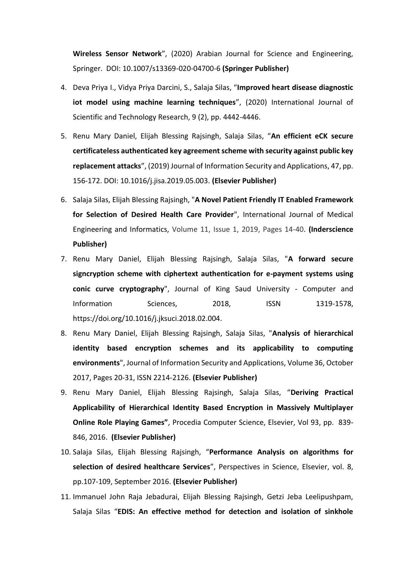**Wireless Sensor Network**", (2020) Arabian Journal for Science and Engineering, Springer. DOI: 10.1007/s13369-020-04700-6 **(Springer Publisher)**

- 4. Deva Priya I., Vidya Priya Darcini, S., Salaja Silas, "**Improved heart disease diagnostic iot model using machine learning techniques**", (2020) International Journal of Scientific and Technology Research, 9 (2), pp. 4442-4446.
- 5. Renu Mary Daniel, Elijah Blessing Rajsingh, Salaja Silas, "**An efficient eCK secure certificateless authenticated key agreement scheme with security against public key replacement attacks**", (2019) Journal of Information Security and Applications, 47, pp. 156-172. DOI: 10.1016/j.jisa.2019.05.003. **(Elsevier Publisher)**
- 6. Salaja Silas, Elijah Blessing Rajsingh, "**A Novel Patient Friendly IT Enabled Framework for Selection of Desired Health Care Provider**", International Journal of Medical Engineering and Informatics, Volume 11, Issue 1, 2019, Pages 14-40. **(Inderscience Publisher)**
- 7. Renu Mary Daniel, Elijah Blessing Rajsingh, Salaja Silas, "**A forward secure signcryption scheme with ciphertext authentication for e-payment systems using conic curve cryptography**", Journal of King Saud University - Computer and Information Sciences, 2018, ISSN 1319-1578, https://doi.org/10.1016/j.jksuci.2018.02.004.
- 8. Renu Mary Daniel, Elijah Blessing Rajsingh, Salaja Silas, "**Analysis of hierarchical identity based encryption schemes and its applicability to computing environments**", Journal of Information Security and Applications, Volume 36, October 2017, Pages 20-31, ISSN 2214-2126. **(Elsevier Publisher)**
- 9. Renu Mary Daniel, Elijah Blessing Rajsingh, Salaja Silas, "**Deriving Practical Applicability of Hierarchical Identity Based Encryption in Massively Multiplayer Online Role Playing Games"**, Procedia Computer Science, Elsevier, Vol 93, pp. 839- 846, 2016. **(Elsevier Publisher)**
- 10. Salaja Silas, Elijah Blessing Rajsingh, "**Performance Analysis on algorithms for selection of desired healthcare Services**", Perspectives in Science, Elsevier, vol. 8, pp.107-109, September 2016. **(Elsevier Publisher)**
- 11. Immanuel John Raja Jebadurai, Elijah Blessing Rajsingh, Getzi Jeba Leelipushpam, Salaja Silas "**EDIS: An effective method for detection and isolation of sinkhole**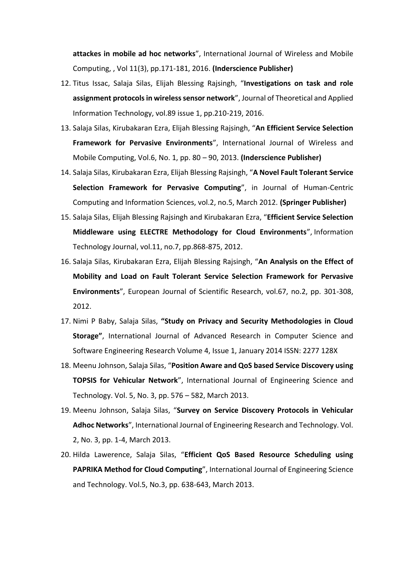**attackes in mobile ad hoc networks**", International Journal of Wireless and Mobile Computing, , Vol 11(3), pp.171-181, 2016. **(Inderscience Publisher)**

- 12. Titus Issac, Salaja Silas, Elijah Blessing Rajsingh, "**Investigations on task and role assignment protocols in wireless sensor network**", Journal of Theoretical and Applied Information Technology, vol.89 issue 1, pp.210-219, 2016.
- 13. Salaja Silas, Kirubakaran Ezra, Elijah Blessing Rajsingh, "**An Efficient Service Selection Framework for Pervasive Environments**", International Journal of Wireless and Mobile Computing, Vol.6, No. 1, pp. 80 – 90, 2013. **(Inderscience Publisher)**
- 14. Salaja Silas, Kirubakaran Ezra, Elijah Blessing Rajsingh, "**A Novel Fault Tolerant Service Selection Framework for Pervasive Computing**", in Journal of Human-Centric Computing and Information Sciences, vol.2, no.5, March 2012. **(Springer Publisher)**
- 15. Salaja Silas, Elijah Blessing Rajsingh and Kirubakaran Ezra, "**Efficient Service Selection Middleware using ELECTRE Methodology for Cloud Environments**", Information Technology Journal, vol.11, no.7, pp.868-875, 2012.
- 16. Salaja Silas, Kirubakaran Ezra, Elijah Blessing Rajsingh, "**An Analysis on the Effect of Mobility and Load on Fault Tolerant Service Selection Framework for Pervasive Environments**", European Journal of Scientific Research, vol.67, no.2, pp. 301-308, 2012.
- 17. Nimi P Baby, Salaja Silas, **"Study on Privacy and Security Methodologies in Cloud Storage"**, International Journal of Advanced Research in Computer Science and Software Engineering Research Volume 4, Issue 1, January 2014 ISSN: 2277 128X
- 18. Meenu Johnson, Salaja Silas, "**Position Aware and QoS based Service Discovery using TOPSIS for Vehicular Network**", International Journal of Engineering Science and Technology. Vol. 5, No. 3, pp. 576 – 582, March 2013.
- 19. Meenu Johnson, Salaja Silas, "**Survey on Service Discovery Protocols in Vehicular Adhoc Networks**", International Journal of Engineering Research and Technology. Vol. 2, No. 3, pp. 1-4, March 2013.
- 20. Hilda Lawerence, Salaja Silas, "**Efficient QoS Based Resource Scheduling using PAPRIKA Method for Cloud Computing**", International Journal of Engineering Science and Technology. Vol.5, No.3, pp. 638-643, March 2013.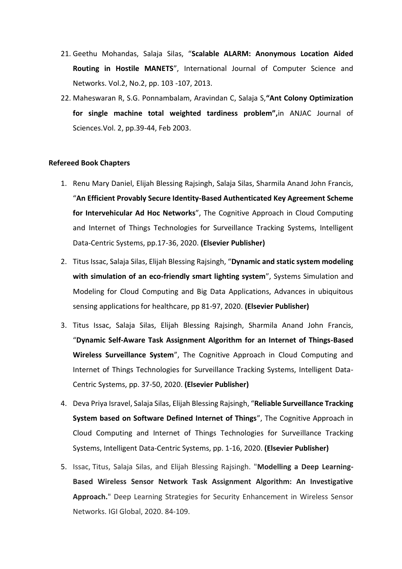- 21. Geethu Mohandas, Salaja Silas, "**Scalable ALARM: Anonymous Location Aided Routing in Hostile MANETS**", International Journal of Computer Science and Networks. Vol.2, No.2, pp. 103 -107, 2013.
- 22. Maheswaran R, S.G. Ponnambalam, Aravindan C, Salaja S,**"Ant Colony Optimization for single machine total weighted tardiness problem",**in ANJAC Journal of Sciences.Vol. 2, pp.39-44, Feb 2003.

#### **Refereed Book Chapters**

- 1. Renu Mary Daniel, Elijah Blessing Rajsingh, Salaja Silas, Sharmila Anand John Francis, "**An Efficient Provably Secure Identity-Based Authenticated Key Agreement Scheme for Intervehicular Ad Hoc Networks**", The Cognitive Approach in Cloud Computing and Internet of Things Technologies for Surveillance Tracking Systems, Intelligent Data-Centric Systems, pp.17-36, 2020. **(Elsevier Publisher)**
- 2. Titus Issac, Salaja Silas, Elijah Blessing Rajsingh, "**Dynamic and static system modeling with simulation of an eco-friendly smart lighting system**", Systems Simulation and Modeling for Cloud Computing and Big Data Applications, Advances in ubiquitous sensing applications for healthcare, pp 81-97, 2020. **(Elsevier Publisher)**
- 3. Titus Issac, Salaja Silas, Elijah Blessing Rajsingh, Sharmila Anand John Francis, "**Dynamic Self-Aware Task Assignment Algorithm for an Internet of Things-Based Wireless Surveillance System**", The Cognitive Approach in Cloud Computing and Internet of Things Technologies for Surveillance Tracking Systems, Intelligent Data-Centric Systems, pp. 37-50, 2020. **(Elsevier Publisher)**
- 4. Deva Priya Isravel, Salaja Silas, Elijah Blessing Rajsingh, "**Reliable Surveillance Tracking System based on Software Defined Internet of Things**", The Cognitive Approach in Cloud Computing and Internet of Things Technologies for Surveillance Tracking Systems, Intelligent Data-Centric Systems, pp. 1-16, 2020. **(Elsevier Publisher)**
- 5. Issac, Titus, Salaja Silas, and Elijah Blessing Rajsingh. "**Modelling a Deep Learning-Based Wireless Sensor Network Task Assignment Algorithm: An Investigative Approach.**" Deep Learning Strategies for Security Enhancement in Wireless Sensor Networks. IGI Global, 2020. 84-109.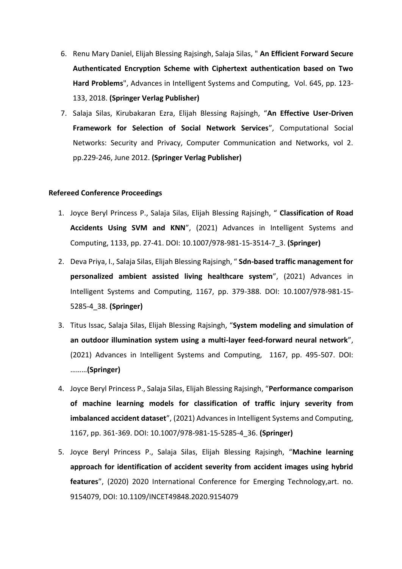- 6. Renu Mary Daniel, Elijah Blessing Rajsingh, Salaja Silas, " **An Efficient Forward Secure Authenticated Encryption Scheme with Ciphertext authentication based on Two Hard Problems**", Advances in Intelligent Systems and Computing, Vol. 645, pp. 123- 133, 2018. **(Springer Verlag Publisher)**
- 7. Salaja Silas, Kirubakaran Ezra, Elijah Blessing Rajsingh, "**An Effective User-Driven Framework for Selection of Social Network Services**", Computational Social Networks: Security and Privacy, Computer Communication and Networks, vol 2. pp.229-246, June 2012. **(Springer Verlag Publisher)**

#### **Refereed Conference Proceedings**

- 1. Joyce Beryl Princess P., Salaja Silas, Elijah Blessing Rajsingh, " **Classification of Road Accidents Using SVM and KNN**", (2021) Advances in Intelligent Systems and Computing, 1133, pp. 27-41. DOI: 10.1007/978-981-15-3514-7\_3. **(Springer)**
- 2. Deva Priya, I., Salaja Silas, Elijah Blessing Rajsingh, " **Sdn-based traffic management for personalized ambient assisted living healthcare system**", (2021) Advances in Intelligent Systems and Computing, 1167, pp. 379-388. DOI: 10.1007/978-981-15- 5285-4\_38. **(Springer)**
- 3. Titus Issac, Salaja Silas, Elijah Blessing Rajsingh, "**System modeling and simulation of an outdoor illumination system using a multi-layer feed-forward neural network**", (2021) Advances in Intelligent Systems and Computing, 1167, pp. 495-507. DOI: ………**(Springer)**
- 4. Joyce Beryl Princess P., Salaja Silas, Elijah Blessing Rajsingh, "**Performance comparison of machine learning models for classification of traffic injury severity from imbalanced accident dataset**", (2021) Advances in Intelligent Systems and Computing, 1167, pp. 361-369. DOI: 10.1007/978-981-15-5285-4\_36. **(Springer)**
- 5. Joyce Beryl Princess P., Salaja Silas, Elijah Blessing Rajsingh, "**Machine learning approach for identification of accident severity from accident images using hybrid features**", (2020) 2020 International Conference for Emerging Technology,art. no. 9154079, DOI: 10.1109/INCET49848.2020.9154079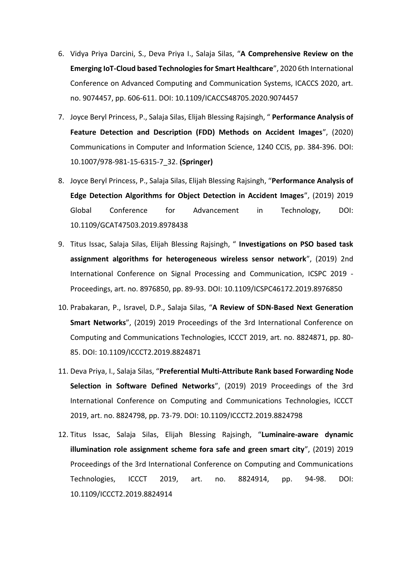- 6. Vidya Priya Darcini, S., Deva Priya I., Salaja Silas, "**A Comprehensive Review on the Emerging IoT-Cloud based Technologies for Smart Healthcare**", 2020 6th International Conference on Advanced Computing and Communication Systems, ICACCS 2020, art. no. 9074457, pp. 606-611. DOI: 10.1109/ICACCS48705.2020.9074457
- 7. Joyce Beryl Princess, P., Salaja Silas, Elijah Blessing Rajsingh, " **Performance Analysis of Feature Detection and Description (FDD) Methods on Accident Images**", (2020) Communications in Computer and Information Science, 1240 CCIS, pp. 384-396. DOI: 10.1007/978-981-15-6315-7\_32. **(Springer)**
- 8. Joyce Beryl Princess, P., Salaja Silas, Elijah Blessing Rajsingh, "**Performance Analysis of Edge Detection Algorithms for Object Detection in Accident Images**", (2019) 2019 Global Conference for Advancement in Technology, DOI: 10.1109/GCAT47503.2019.8978438
- 9. Titus Issac, Salaja Silas, Elijah Blessing Rajsingh, " **Investigations on PSO based task assignment algorithms for heterogeneous wireless sensor network**", (2019) 2nd International Conference on Signal Processing and Communication, ICSPC 2019 - Proceedings, art. no. 8976850, pp. 89-93. DOI: 10.1109/ICSPC46172.2019.8976850
- 10. Prabakaran, P., Isravel, D.P., Salaja Silas, "**A Review of SDN-Based Next Generation Smart Networks**", (2019) 2019 Proceedings of the 3rd International Conference on Computing and Communications Technologies, ICCCT 2019, art. no. 8824871, pp. 80- 85. DOI: 10.1109/ICCCT2.2019.8824871
- 11. Deva Priya, I., Salaja Silas, "**Preferential Multi-Attribute Rank based Forwarding Node Selection in Software Defined Networks**", (2019) 2019 Proceedings of the 3rd International Conference on Computing and Communications Technologies, ICCCT 2019, art. no. 8824798, pp. 73-79. DOI: 10.1109/ICCCT2.2019.8824798
- 12. Titus Issac, Salaja Silas, Elijah Blessing Rajsingh, "**Luminaire-aware dynamic illumination role assignment scheme fora safe and green smart city**", (2019) 2019 Proceedings of the 3rd International Conference on Computing and Communications Technologies, ICCCT 2019, art. no. 8824914, pp. 94-98. DOI: 10.1109/ICCCT2.2019.8824914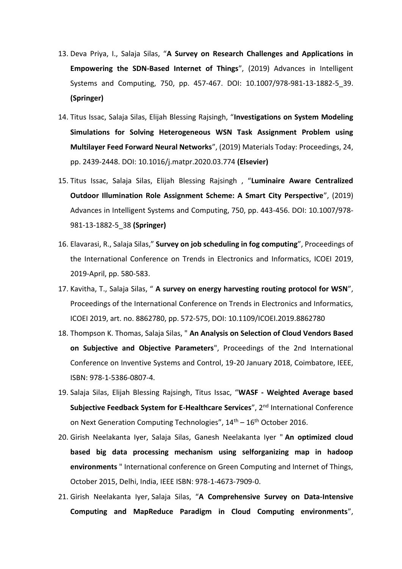- 13. Deva Priya, I., Salaja Silas, "**A Survey on Research Challenges and Applications in Empowering the SDN-Based Internet of Things**", (2019) Advances in Intelligent Systems and Computing, 750, pp. 457-467. DOI: 10.1007/978-981-13-1882-5\_39. **(Springer)**
- 14. Titus Issac, Salaja Silas, Elijah Blessing Rajsingh, "**Investigations on System Modeling Simulations for Solving Heterogeneous WSN Task Assignment Problem using Multilayer Feed Forward Neural Networks**", (2019) Materials Today: Proceedings, 24, pp. 2439-2448. DOI: 10.1016/j.matpr.2020.03.774 **(Elsevier)**
- 15. Titus Issac, Salaja Silas, Elijah Blessing Rajsingh , "**Luminaire Aware Centralized Outdoor Illumination Role Assignment Scheme: A Smart City Perspective**", (2019) Advances in Intelligent Systems and Computing, 750, pp. 443-456. DOI: 10.1007/978- 981-13-1882-5\_38 **(Springer)**
- 16. Elavarasi, R., Salaja Silas," **Survey on job scheduling in fog computing**", Proceedings of the International Conference on Trends in Electronics and Informatics, ICOEI 2019, 2019-April, pp. 580-583.
- 17. Kavitha, T., Salaja Silas, " **A survey on energy harvesting routing protocol for WSN**", Proceedings of the International Conference on Trends in Electronics and Informatics, ICOEI 2019, art. no. 8862780, pp. 572-575, DOI: 10.1109/ICOEI.2019.8862780
- 18. Thompson K. Thomas, Salaja Silas, " **An Analysis on Selection of Cloud Vendors Based on Subjective and Objective Parameters**", Proceedings of the 2nd International Conference on Inventive Systems and Control, 19-20 January 2018, Coimbatore, IEEE, ISBN: 978-1-5386-0807-4.
- 19. Salaja Silas, Elijah Blessing Rajsingh, Titus Issac, "**WASF - Weighted Average based Subjective Feedback System for E-Healthcare Services", 2<sup>nd</sup> International Conference** on Next Generation Computing Technologies",  $14<sup>th</sup> - 16<sup>th</sup>$  October 2016.
- 20. Girish Neelakanta Iyer, Salaja Silas, Ganesh Neelakanta Iyer " **An optimized cloud based big data processing mechanism using selforganizing map in hadoop environments** " International conference on Green Computing and Internet of Things, October 2015, Delhi, India, IEEE ISBN: 978-1-4673-7909-0.
- 21. Girish Neelakanta Iyer, Salaja Silas, "**A Comprehensive Survey on Data-Intensive Computing and MapReduce Paradigm in Cloud Computing environments**",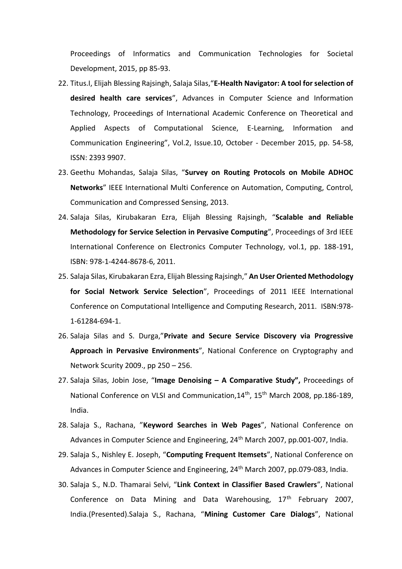Proceedings of Informatics and Communication Technologies for Societal Development, 2015, pp 85-93.

- 22. Titus.I, Elijah Blessing Rajsingh, Salaja Silas,"**E-Health Navigator: A tool for selection of desired health care services**", Advances in Computer Science and Information Technology, Proceedings of International Academic Conference on Theoretical and Applied Aspects of Computational Science, E-Learning, Information and Communication Engineering", Vol.2, Issue.10, October - December 2015, pp. 54-58, ISSN: 2393 9907.
- 23. Geethu Mohandas, Salaja Silas, "**Survey on Routing Protocols on Mobile ADHOC Networks**" IEEE International Multi Conference on Automation, Computing, Control, Communication and Compressed Sensing, 2013.
- 24. Salaja Silas, Kirubakaran Ezra, Elijah Blessing Rajsingh, "**Scalable and Reliable Methodology for Service Selection in Pervasive Computing**", Proceedings of 3rd IEEE International Conference on Electronics Computer Technology, vol.1, pp. 188-191, ISBN: 978-1-4244-8678-6, 2011.
- 25. Salaja Silas, Kirubakaran Ezra, Elijah Blessing Rajsingh," **An User Oriented Methodology for Social Network Service Selection**", Proceedings of 2011 IEEE International Conference on Computational Intelligence and Computing Research, 2011. ISBN:978- 1-61284-694-1.
- 26. Salaja Silas and S. Durga,"**Private and Secure Service Discovery via Progressive Approach in Pervasive Environments**", National Conference on Cryptography and Network Scurity 2009., pp 250 – 256.
- 27. Salaja Silas, Jobin Jose, "**Image Denoising – A Comparative Study",** Proceedings of National Conference on VLSI and Communication, 14<sup>th</sup>, 15<sup>th</sup> March 2008, pp.186-189, India.
- 28. Salaja S., Rachana, "**Keyword Searches in Web Pages**", National Conference on Advances in Computer Science and Engineering, 24<sup>th</sup> March 2007, pp.001-007, India.
- 29. Salaja S., Nishley E. Joseph, "**Computing Frequent Itemsets**", National Conference on Advances in Computer Science and Engineering, 24<sup>th</sup> March 2007, pp.079-083, India.
- 30. Salaja S., N.D. Thamarai Selvi, "**Link Context in Classifier Based Crawlers**", National Conference on Data Mining and Data Warehousing, 17<sup>th</sup> February 2007, India.(Presented).Salaja S., Rachana, "**Mining Customer Care Dialogs**", National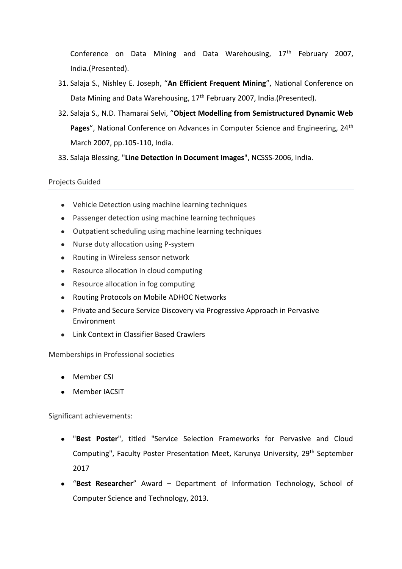Conference on Data Mining and Data Warehousing,  $17<sup>th</sup>$  February 2007, India.(Presented).

- 31. Salaja S., Nishley E. Joseph, "**An Efficient Frequent Mining**", National Conference on Data Mining and Data Warehousing, 17<sup>th</sup> February 2007, India.(Presented).
- 32. Salaja S., N.D. Thamarai Selvi, "**Object Modelling from Semistructured Dynamic Web**  Pages", National Conference on Advances in Computer Science and Engineering, 24<sup>th</sup> March 2007, pp.105-110, India.
- 33. Salaja Blessing, "**Line Detection in Document Images**", NCSSS-2006, India.

### Projects Guided

- Vehicle Detection using machine learning techniques
- Passenger detection using machine learning techniques
- Outpatient scheduling using machine learning techniques
- Nurse duty allocation using P-system
- Routing in Wireless sensor network
- Resource allocation in cloud computing
- Resource allocation in fog computing
- Routing Protocols on Mobile ADHOC Networks
- Private and Secure Service Discovery via Progressive Approach in Pervasive Environment
- Link Context in Classifier Based Crawlers

#### Memberships in Professional societies

- Member CSI
- Member IACSIT

#### Significant achievements:

- "Best Poster", titled "Service Selection Frameworks for Pervasive and Cloud Computing", Faculty Poster Presentation Meet, Karunya University, 29<sup>th</sup> September 2017
- "**Best Researcher**" Award Department of Information Technology, School of Computer Science and Technology, 2013.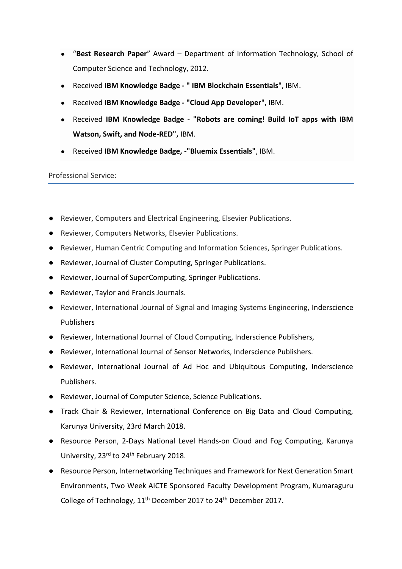- "**Best Research Paper**" Award Department of Information Technology, School of Computer Science and Technology, 2012.
- Received **IBM Knowledge Badge - " IBM Blockchain Essentials**", IBM.
- Received **IBM Knowledge Badge - "Cloud App Developer**", IBM.
- Received **IBM Knowledge Badge - "Robots are coming! Build IoT apps with IBM Watson, Swift, and Node-RED",** IBM.
- Received **IBM Knowledge Badge, -"Bluemix Essentials"**, IBM.

#### Professional Service:

- Reviewer, Computers and Electrical Engineering, Elsevier Publications.
- Reviewer, Computers Networks, Elsevier Publications.
- Reviewer, Human Centric Computing and Information Sciences, Springer Publications.
- Reviewer, Journal of Cluster Computing, Springer Publications.
- Reviewer, Journal of SuperComputing, Springer Publications.
- Reviewer, Taylor and Francis Journals.
- Reviewer, International Journal of Signal and Imaging Systems Engineering, Inderscience Publishers
- Reviewer, International Journal of Cloud Computing, Inderscience Publishers,
- Reviewer, International Journal of Sensor Networks, Inderscience Publishers.
- Reviewer, International Journal of Ad Hoc and Ubiquitous Computing, Inderscience Publishers.
- Reviewer, Journal of Computer Science, Science Publications.
- Track Chair & Reviewer, International Conference on Big Data and Cloud Computing, Karunya University, 23rd March 2018.
- Resource Person, 2-Days National Level Hands-on Cloud and Fog Computing, Karunya University, 23<sup>rd</sup> to 24<sup>th</sup> February 2018.
- Resource Person, Internetworking Techniques and Framework for Next Generation Smart Environments, Two Week AICTE Sponsored Faculty Development Program, Kumaraguru College of Technology, 11<sup>th</sup> December 2017 to 24<sup>th</sup> December 2017.